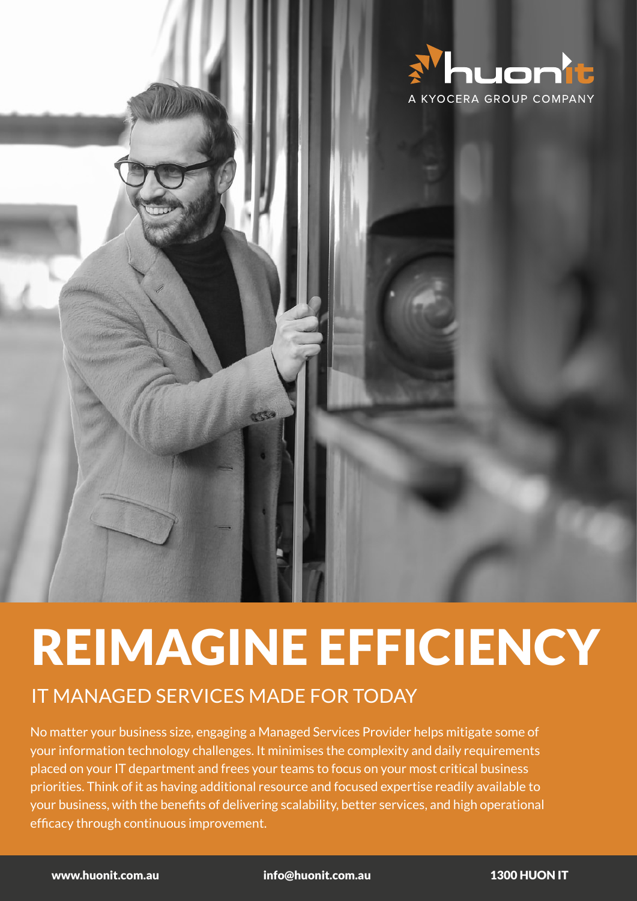

# REIMAGINE EFFICIENCY

## IT MANAGED SERVICES MADE FOR TODAY

No matter your business size, engaging a Managed Services Provider helps mitigate some of your information technology challenges. It minimises the complexity and daily requirements placed on your IT department and frees your teams to focus on your most critical business priorities. Think of it as having additional resource and focused expertise readily available to your business, with the benefits of delivering scalability, better services, and high operational efficacy through continuous improvement.

**/5** www.huonit.com.au info@huonit.com.au 1300 HUON IT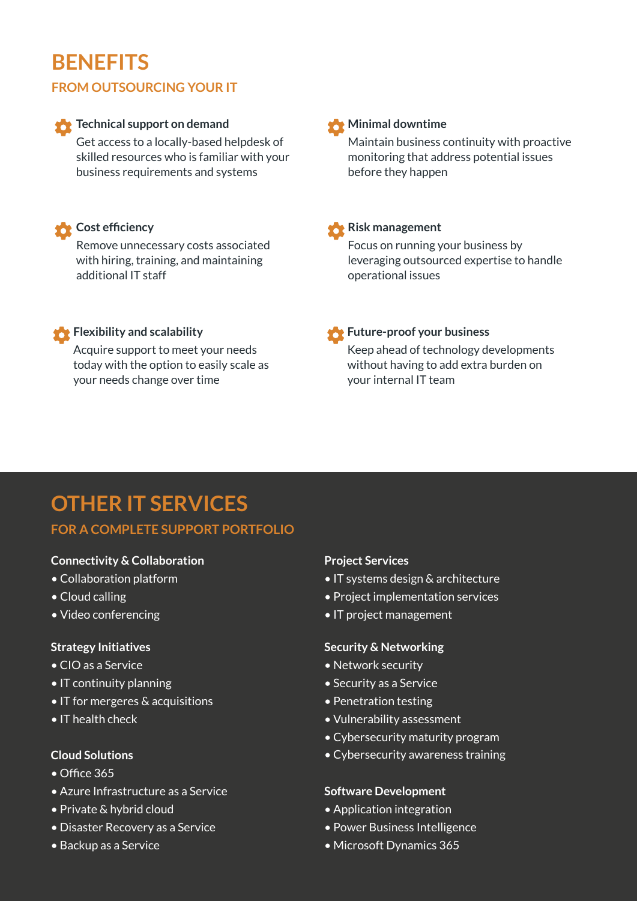# **BENEFITS**

#### **FROM OUTSOURCING YOUR IT**

#### **Technical support on demand**

Get access to a locally-based helpdesk of skilled resources who is familiar with your business requirements and systems

#### **Cost efficiency**

Remove unnecessary costs associated with hiring, training, and maintaining additional IT staff

#### **Risk management**

**Minimal downtime** 

before they happen

Focus on running your business by leveraging outsourced expertise to handle operational issues

Maintain business continuity with proactive monitoring that address potential issues

#### **Flexibility and scalability**

Acquire support to meet your needs today with the option to easily scale as your needs change over time

#### **Future-proof your business**

Keep ahead of technology developments without having to add extra burden on your internal IT team

# **OTHER IT SERVICES**

#### **FOR A COMPLETE SUPPORT PORTFOLIO**

#### **Connectivity & Collaboration**

- Collaboration platform
- Cloud calling
- Video conferencing

#### **Strategy Initiatives**

- CIO as a Service
- IT continuity planning
- IT for mergeres & acquisitions
- IT health check

#### **Cloud Solutions**

- Office 365
- Azure Infrastructure as a Service
- Private & hybrid cloud
- Disaster Recovery as a Service
- Backup as a Service

#### **Project Services**

- IT systems design & architecture
- Project implementation services
- IT project management

#### **Security & Networking**

- Network security
- Security as a Service
- Penetration testing
- Vulnerability assessment
- Cybersecurity maturity program
- Cybersecurity awareness training

#### **Software Development**

- Application integration
- Power Business Intelligence
- Microsoft Dynamics 365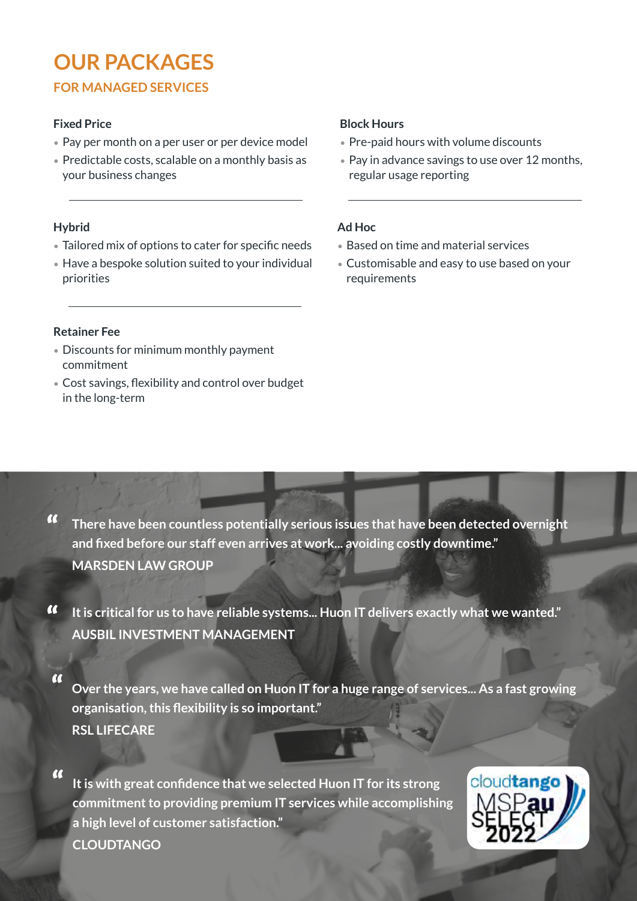# **OUR PACKAGES**

### **FOR MANAGED SERVICES**

#### **Fixed Price**

- Pay per month on a per user or per device model
- Predictable costs, scalable on a monthly basis as your business changes

#### **Hybrid**

- Tailored mix of options to cater for specific needs
- Have a bespoke solution suited to your individual priorities

#### **Block Hours**

- Pre-paid hours with volume discounts
- Pay in advance savings to use over 12 months, regular usage reporting

#### **Ad Hoc**

- Based on time and material services
- Customisable and easy to use based on your requirements

#### **Retainer Fee**

- Discounts for minimum monthly payment commitment
- Cost savings, flexibility and control over budget in the long-term

- **There have been countless potentially serious issues that have been detected overnight and fixed before our staff even arrives at work... avoiding costly downtime." MARSDEN LAW GROUP**  $\alpha$
- **It is critical for us to have reliable systems... Huon IT delivers exactly what we wanted."** " **AUSBIL INVESTMENT MANAGEMENT**
- **Over the years, we have called on Huon IT for a huge range of services... As a fast growing organisation, this flexibility is so important." RSL LIFECARE**  $\alpha$

**It is with great confidence that we selected Huon IT for its strong commitment to providing premium IT services while accomplishing a high level of customer satisfaction." CLOUDTANGO**  $\alpha$